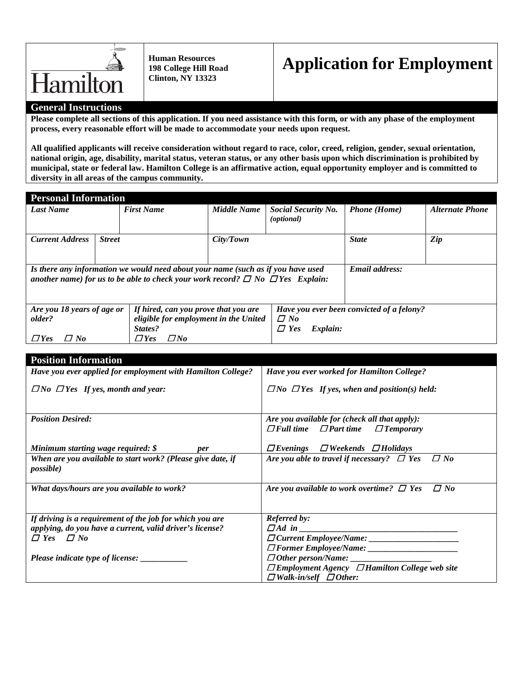

**Human Resources 198 College Hill Road Clinton, NY 13323**

## **Application for Employment**

## **General Instructions**

**Please complete all sections of this application. If you need assistance with this form, or with any phase of the employment process, every reasonable effort will be made to accommodate your needs upon request.** 

**All qualified applicants will receive consideration without regard to race, color, creed, religion, gender, sexual orientation, national origin, age, disability, marital status, veteran status, or any other basis upon which discrimination is prohibited by municipal, state or federal law. Hamilton College is an affirmative action, equal opportunity employer and is committed to diversity in all areas of the campus community.**

| <b>Personal Information</b>                                                                                                                                                  |               |                         |             |                                                   |                     |                        |
|------------------------------------------------------------------------------------------------------------------------------------------------------------------------------|---------------|-------------------------|-------------|---------------------------------------------------|---------------------|------------------------|
| Last Name                                                                                                                                                                    |               | <b>First Name</b>       | Middle Name | <b>Social Security No.</b><br>( <i>optional</i> ) | <b>Phone</b> (Home) | <b>Alternate Phone</b> |
| <b>Current Address</b>                                                                                                                                                       | <b>Street</b> |                         | City/Town   |                                                   | <b>State</b>        | Zip                    |
| Is there any information we would need about your name (such as if you have used<br>another name) for us to be able to check your work record? $\Box$ No $\Box$ Yes Explain: |               |                         |             |                                                   | Email address:      |                        |
| Are you 18 years of age or<br>If hired, can you prove that you are                                                                                                           |               |                         |             | Have you ever been convicted of a felony?         |                     |                        |
| eligible for employment in the United<br>older?                                                                                                                              |               |                         | $\Box$ No   |                                                   |                     |                        |
|                                                                                                                                                                              |               | States?                 |             | $\Box$ Yes<br>Explain:                            |                     |                        |
| $\varPi$ No<br>$\Box$ Yes                                                                                                                                                    |               | $\Box$ No<br>$\Box$ Yes |             |                                                   |                     |                        |

| <b>Position Information</b>                                                      |                                                                                                     |
|----------------------------------------------------------------------------------|-----------------------------------------------------------------------------------------------------|
| Have you ever applied for employment with Hamilton College?                      | Have you ever worked for Hamilton College?                                                          |
| $\Box$ No $\Box$ Yes If yes, month and year:                                     | $\Box$ No $\Box$ Yes If yes, when and position(s) held:                                             |
| <b>Position Desired:</b>                                                         | Are you available for (check all that apply):<br>$\Box$ Full time $\Box$ Part time $\Box$ Temporary |
| Minimum starting wage required: $\oint$<br><i>per</i>                            | $\Box$ Evenings $\Box$ Weekends $\Box$ Holidays                                                     |
| When are you available to start work? (Please give date, if<br><i>possible</i> ) | Are you able to travel if necessary? $\Box$ Yes $\Box$ No                                           |
| What days/hours are you available to work?                                       | $\Box$ No<br>Are you available to work overtime? $\Box$ Yes                                         |
| If driving is a requirement of the job for which you are                         | <b>Referred by:</b>                                                                                 |
| applying, do you have a current, valid driver's license?                         |                                                                                                     |
| $\Box$ Yes $\Box$ No                                                             |                                                                                                     |
|                                                                                  |                                                                                                     |
| Please indicate type of license: _____________                                   | $\Box$ Other person/Name: $\Box$                                                                    |
|                                                                                  | $\Box$ Employment Agency $\Box$ Hamilton College web site                                           |
|                                                                                  | $\Box$ Walk-in/self $\Box$ Other:                                                                   |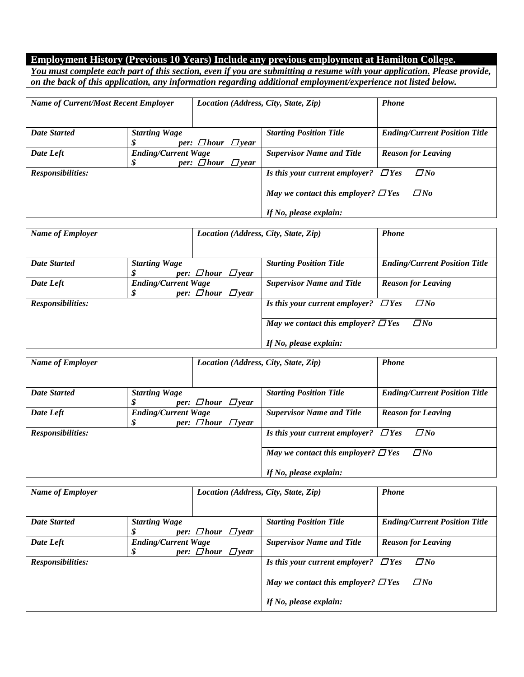## **Employment History (Previous 10 Years) Include any previous employment at Hamilton College.**

*You must complete each part of this section, even if you are submitting a resume with your application. Please provide, on the back of this application, any information regarding additional employment/experience not listed below.* 

| <b>Name of Current/Most Recent Employer</b> |                                 | Location (Address, City, State, Zip) |  |                                           | <b>Phone</b>                         |
|---------------------------------------------|---------------------------------|--------------------------------------|--|-------------------------------------------|--------------------------------------|
| <b>Date Started</b>                         | <b>Starting Wage</b>            | per: $\Box$ hour $\Box$ year         |  | <b>Starting Position Title</b>            | <b>Ending/Current Position Title</b> |
| Date Left                                   | <b>Ending/Current Wage</b><br>S | per: $\Box$ hour $\Box$ year         |  | <b>Supervisor Name and Title</b>          | <b>Reason for Leaving</b>            |
| <b>Responsibilities:</b>                    |                                 |                                      |  | Is this your current employer? $\Box$ Yes | $\Box$ No                            |
|                                             |                                 |                                      |  | May we contact this employer? $\Box$ Yes  | $\Box$ No                            |
|                                             |                                 |                                      |  | If No, please explain:                    |                                      |

| <b>Name of Employer</b>  |                                 | Location (Address, City, State, Zip) |                                           | <b>Phone</b>                         |
|--------------------------|---------------------------------|--------------------------------------|-------------------------------------------|--------------------------------------|
| <b>Date Started</b>      | <b>Starting Wage</b>            | per: $\Box$ hour $\Box$ year         | <b>Starting Position Title</b>            | <b>Ending/Current Position Title</b> |
| Date Left                | <b>Ending/Current Wage</b><br>S | per: $\Box$ hour $\Box$ year         | <b>Supervisor Name and Title</b>          | <b>Reason for Leaving</b>            |
| <b>Responsibilities:</b> |                                 |                                      | Is this your current employer? $\Box$ Yes | $\Box$ No                            |
|                          |                                 |                                      | May we contact this employer? $\Box$ Yes  | $\Box$ No                            |
|                          |                                 |                                      | If No, please explain:                    |                                      |

| <b>Name of Employer</b> |                            | Location (Address, City, State, Zip) |                                           | <b>Phone</b>                         |
|-------------------------|----------------------------|--------------------------------------|-------------------------------------------|--------------------------------------|
|                         |                            |                                      |                                           |                                      |
| <b>Date Started</b>     | <b>Starting Wage</b>       |                                      | <b>Starting Position Title</b>            | <b>Ending/Current Position Title</b> |
|                         |                            | per: $\Box$ hour $\Box$ year         |                                           |                                      |
| Date Left               | <b>Ending/Current Wage</b> |                                      | <b>Supervisor Name and Title</b>          | <b>Reason for Leaving</b>            |
|                         |                            | per: $\Box$ hour $\Box$ year         |                                           |                                      |
| Responsibilities:       |                            |                                      | Is this your current employer? $\Box$ Yes | $\Box$ No                            |
|                         |                            |                                      | May we contact this employer? $\Box$ Yes  | $\Box$ No                            |
|                         |                            |                                      | If No, please explain:                    |                                      |

| <b>Name of Employer</b> |                            | Location (Address, City, State, Zip) |                                           | <b>Phone</b>                         |
|-------------------------|----------------------------|--------------------------------------|-------------------------------------------|--------------------------------------|
|                         |                            |                                      |                                           |                                      |
| <b>Date Started</b>     | <b>Starting Wage</b>       |                                      | <b>Starting Position Title</b>            | <b>Ending/Current Position Title</b> |
|                         |                            | per: $\Box$ hour $\Box$ year         |                                           |                                      |
| Date Left               | <b>Ending/Current Wage</b> |                                      | <b>Supervisor Name and Title</b>          | <b>Reason for Leaving</b>            |
|                         | \$                         | per: $\Box$ hour $\Box$ year         |                                           |                                      |
| Responsibilities:       |                            |                                      | Is this your current employer? $\Box$ Yes | $\Box$ No                            |
|                         |                            |                                      |                                           |                                      |
|                         |                            |                                      | May we contact this employer? $\Box$ Yes  | $\Box$ No                            |
|                         |                            |                                      | If No, please explain:                    |                                      |